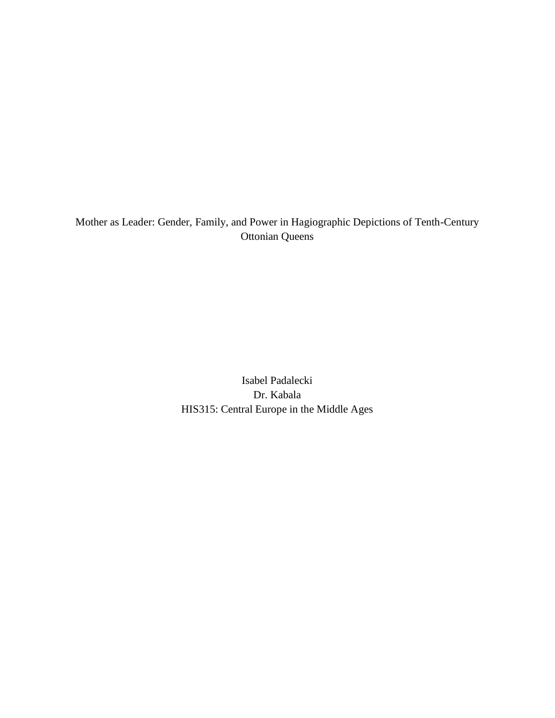Mother as Leader: Gender, Family, and Power in Hagiographic Depictions of Tenth-Century Ottonian Queens

> Isabel Padalecki Dr. Kabala HIS315: Central Europe in the Middle Ages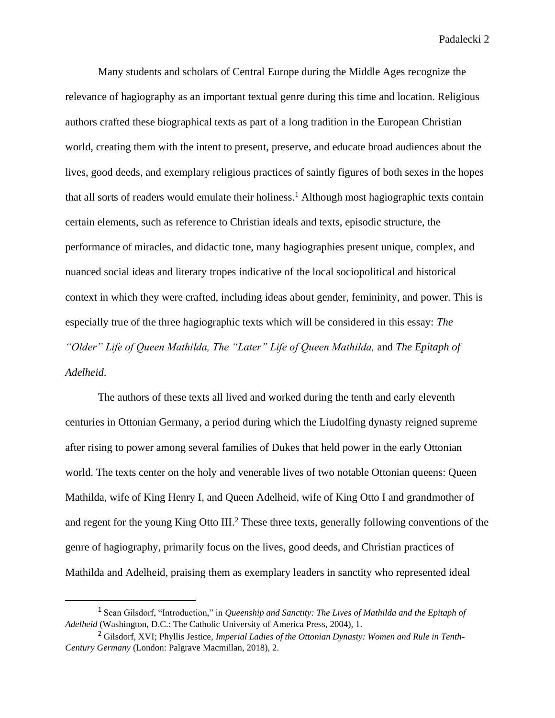Many students and scholars of Central Europe during the Middle Ages recognize the relevance of hagiography as an important textual genre during this time and location. Religious authors crafted these biographical texts as part of a long tradition in the European Christian world, creating them with the intent to present, preserve, and educate broad audiences about the lives, good deeds, and exemplary religious practices of saintly figures of both sexes in the hopes that all sorts of readers would emulate their holiness.<sup>1</sup> Although most hagiographic texts contain certain elements, such as reference to Christian ideals and texts, episodic structure, the performance of miracles, and didactic tone, many hagiographies present unique, complex, and nuanced social ideas and literary tropes indicative of the local sociopolitical and historical context in which they were crafted, including ideas about gender, femininity, and power. This is especially true of the three hagiographic texts which will be considered in this essay: *The "Older" Life of Queen Mathilda, The "Later" Life of Queen Mathilda,* and *The Epitaph of Adelheid*.

The authors of these texts all lived and worked during the tenth and early eleventh centuries in Ottonian Germany, a period during which the Liudolfing dynasty reigned supreme after rising to power among several families of Dukes that held power in the early Ottonian world. The texts center on the holy and venerable lives of two notable Ottonian queens: Queen Mathilda, wife of King Henry I, and Queen Adelheid, wife of King Otto I and grandmother of and regent for the young King Otto III.<sup>2</sup> These three texts, generally following conventions of the genre of hagiography, primarily focus on the lives, good deeds, and Christian practices of Mathilda and Adelheid, praising them as exemplary leaders in sanctity who represented ideal

<sup>1</sup> Sean Gilsdorf, "Introduction," in *Queenship and Sanctity: The Lives of Mathilda and the Epitaph of Adelheid* (Washington, D.C.: The Catholic University of America Press, 2004), 1.

<sup>2</sup> Gilsdorf, XVI; Phyllis Jestice, *Imperial Ladies of the Ottonian Dynasty: Women and Rule in Tenth-Century Germany* (London: Palgrave Macmillan, 2018), 2.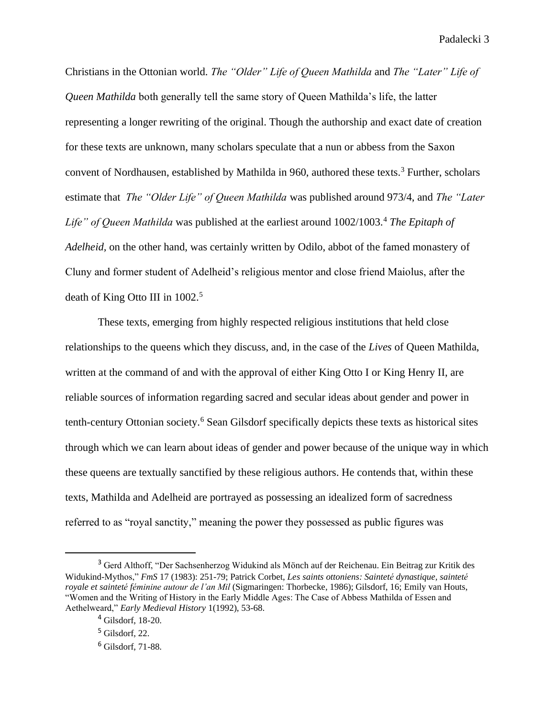Christians in the Ottonian world. *The "Older" Life of Queen Mathilda* and *The "Later" Life of Queen Mathilda* both generally tell the same story of Queen Mathilda's life, the latter representing a longer rewriting of the original. Though the authorship and exact date of creation for these texts are unknown, many scholars speculate that a nun or abbess from the Saxon convent of Nordhausen, established by Mathilda in 960, authored these texts.<sup>3</sup> Further, scholars estimate that *The "Older Life" of Queen Mathilda* was published around 973/4, and *The "Later Life" of Queen Mathilda* was published at the earliest around 1002/1003.<sup>4</sup> *The Epitaph of Adelheid,* on the other hand, was certainly written by Odilo, abbot of the famed monastery of Cluny and former student of Adelheid's religious mentor and close friend Maiolus, after the death of King Otto III in 1002.<sup>5</sup>

These texts, emerging from highly respected religious institutions that held close relationships to the queens which they discuss, and, in the case of the *Lives* of Queen Mathilda, written at the command of and with the approval of either King Otto I or King Henry II, are reliable sources of information regarding sacred and secular ideas about gender and power in tenth-century Ottonian society.<sup>6</sup> Sean Gilsdorf specifically depicts these texts as historical sites through which we can learn about ideas of gender and power because of the unique way in which these queens are textually sanctified by these religious authors. He contends that, within these texts, Mathilda and Adelheid are portrayed as possessing an idealized form of sacredness referred to as "royal sanctity," meaning the power they possessed as public figures was

<sup>&</sup>lt;sup>3</sup> Gerd Althoff, "Der Sachsenherzog Widukind als Mönch auf der Reichenau. Ein Beitrag zur Kritik des Widukind-Mythos," *FmS* 17 (1983): 251-79; Patrick Corbet, *Les saints ottoniens: Sainteté dynastique, sainteté royale et sainteté féminine autour de l'an Mil* (Sigmaringen: Thorbecke, 1986); Gilsdorf, 16; Emily van Houts, "Women and the Writing of History in the Early Middle Ages: The Case of Abbess Mathilda of Essen and Aethelweard," *Early Medieval History* 1(1992), 53-68.

<sup>4</sup> Gilsdorf, 18-20.

 $5$  Gilsdorf, 22.

<sup>6</sup> Gilsdorf, 71-88.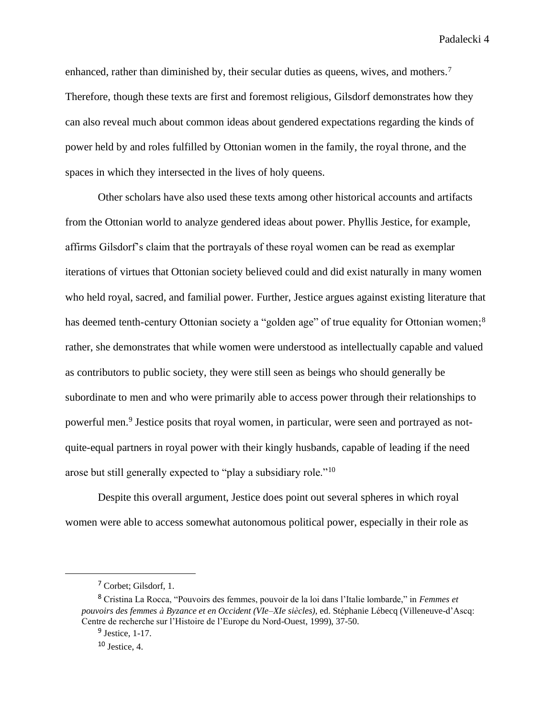enhanced, rather than diminished by, their secular duties as queens, wives, and mothers.<sup>7</sup> Therefore, though these texts are first and foremost religious, Gilsdorf demonstrates how they can also reveal much about common ideas about gendered expectations regarding the kinds of power held by and roles fulfilled by Ottonian women in the family, the royal throne, and the spaces in which they intersected in the lives of holy queens.

Other scholars have also used these texts among other historical accounts and artifacts from the Ottonian world to analyze gendered ideas about power. Phyllis Jestice, for example, affirms Gilsdorf's claim that the portrayals of these royal women can be read as exemplar iterations of virtues that Ottonian society believed could and did exist naturally in many women who held royal, sacred, and familial power. Further, Jestice argues against existing literature that has deemed tenth-century Ottonian society a "golden age" of true equality for Ottonian women;<sup>8</sup> rather, she demonstrates that while women were understood as intellectually capable and valued as contributors to public society, they were still seen as beings who should generally be subordinate to men and who were primarily able to access power through their relationships to powerful men.<sup>9</sup> Jestice posits that royal women, in particular, were seen and portrayed as notquite-equal partners in royal power with their kingly husbands, capable of leading if the need arose but still generally expected to "play a subsidiary role."<sup>10</sup>

Despite this overall argument, Jestice does point out several spheres in which royal women were able to access somewhat autonomous political power, especially in their role as

<sup>7</sup> Corbet; Gilsdorf, 1.

<sup>8</sup> Cristina La Rocca, "Pouvoirs des femmes, pouvoir de la loi dans l'Italie lombarde," in *Femmes et pouvoirs des femmes à Byzance et en Occident (VIe–XIe siècles)*, ed. Stéphanie Lébecq (Villeneuve-d'Ascq: Centre de recherche sur l'Histoire de l'Europe du Nord-Ouest, 1999), 37-50.

 $9$  Jestice, 1-17.

 $10$  Jestice, 4.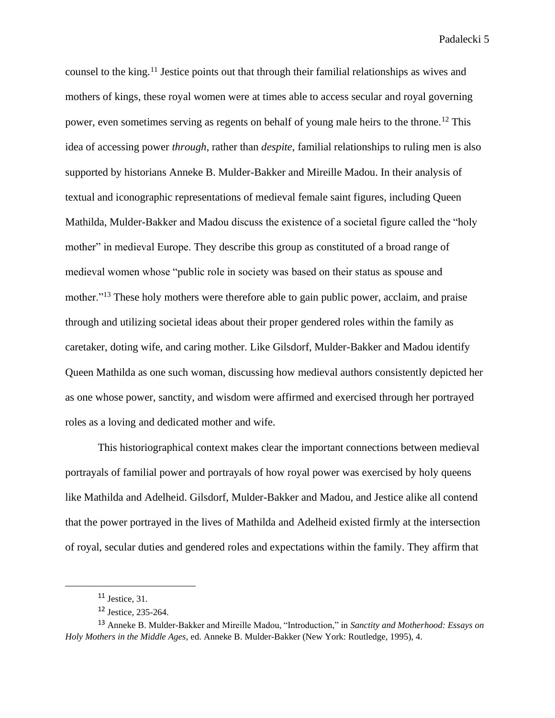counsel to the king.<sup>11</sup> Jestice points out that through their familial relationships as wives and mothers of kings, these royal women were at times able to access secular and royal governing power, even sometimes serving as regents on behalf of young male heirs to the throne.<sup>12</sup> This idea of accessing power *through*, rather than *despite*, familial relationships to ruling men is also supported by historians Anneke B. Mulder-Bakker and Mireille Madou. In their analysis of textual and iconographic representations of medieval female saint figures, including Queen Mathilda, Mulder-Bakker and Madou discuss the existence of a societal figure called the "holy mother" in medieval Europe. They describe this group as constituted of a broad range of medieval women whose "public role in society was based on their status as spouse and mother."<sup>13</sup> These holy mothers were therefore able to gain public power, acclaim, and praise through and utilizing societal ideas about their proper gendered roles within the family as caretaker, doting wife, and caring mother. Like Gilsdorf, Mulder-Bakker and Madou identify Queen Mathilda as one such woman, discussing how medieval authors consistently depicted her as one whose power, sanctity, and wisdom were affirmed and exercised through her portrayed roles as a loving and dedicated mother and wife.

This historiographical context makes clear the important connections between medieval portrayals of familial power and portrayals of how royal power was exercised by holy queens like Mathilda and Adelheid. Gilsdorf, Mulder-Bakker and Madou, and Jestice alike all contend that the power portrayed in the lives of Mathilda and Adelheid existed firmly at the intersection of royal, secular duties and gendered roles and expectations within the family. They affirm that

 $11$  Jestice, 31.

<sup>12</sup> Jestice, 235-264.

<sup>13</sup> Anneke B. Mulder-Bakker and Mireille Madou, "Introduction," in *Sanctity and Motherhood: Essays on Holy Mothers in the Middle Ages,* ed. Anneke B. Mulder-Bakker (New York: Routledge, 1995), 4.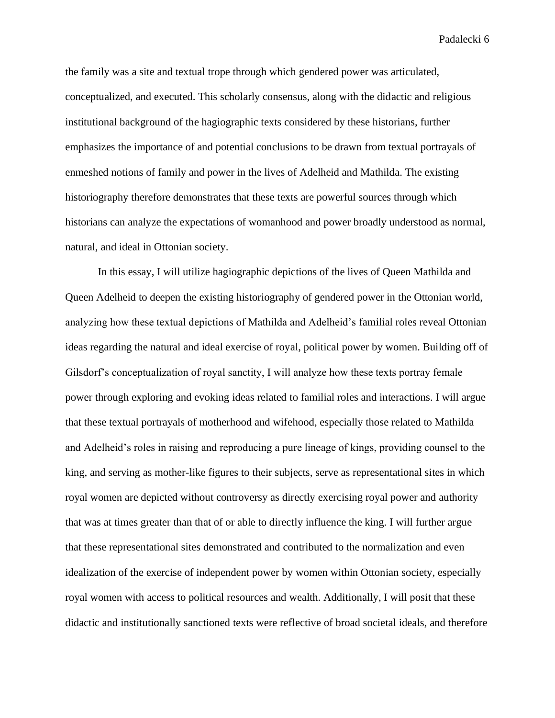the family was a site and textual trope through which gendered power was articulated, conceptualized, and executed. This scholarly consensus, along with the didactic and religious institutional background of the hagiographic texts considered by these historians, further emphasizes the importance of and potential conclusions to be drawn from textual portrayals of enmeshed notions of family and power in the lives of Adelheid and Mathilda. The existing historiography therefore demonstrates that these texts are powerful sources through which historians can analyze the expectations of womanhood and power broadly understood as normal, natural, and ideal in Ottonian society.

In this essay, I will utilize hagiographic depictions of the lives of Queen Mathilda and Queen Adelheid to deepen the existing historiography of gendered power in the Ottonian world, analyzing how these textual depictions of Mathilda and Adelheid's familial roles reveal Ottonian ideas regarding the natural and ideal exercise of royal, political power by women. Building off of Gilsdorf's conceptualization of royal sanctity, I will analyze how these texts portray female power through exploring and evoking ideas related to familial roles and interactions. I will argue that these textual portrayals of motherhood and wifehood, especially those related to Mathilda and Adelheid's roles in raising and reproducing a pure lineage of kings, providing counsel to the king, and serving as mother-like figures to their subjects, serve as representational sites in which royal women are depicted without controversy as directly exercising royal power and authority that was at times greater than that of or able to directly influence the king. I will further argue that these representational sites demonstrated and contributed to the normalization and even idealization of the exercise of independent power by women within Ottonian society, especially royal women with access to political resources and wealth. Additionally, I will posit that these didactic and institutionally sanctioned texts were reflective of broad societal ideals, and therefore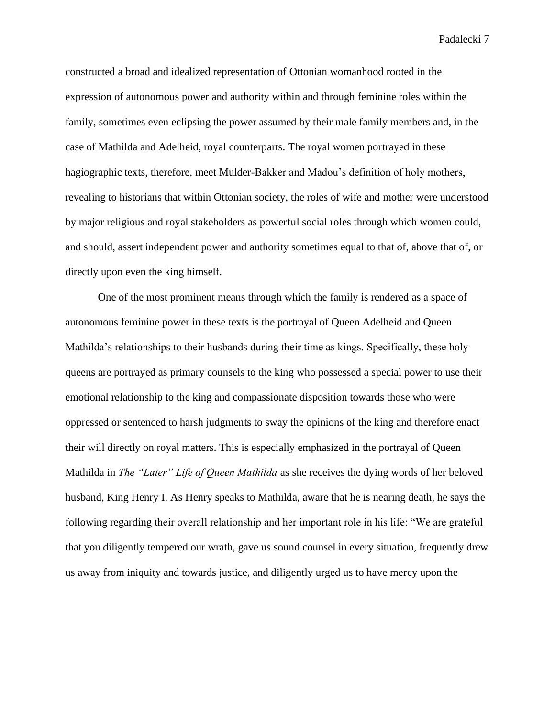constructed a broad and idealized representation of Ottonian womanhood rooted in the expression of autonomous power and authority within and through feminine roles within the family, sometimes even eclipsing the power assumed by their male family members and, in the case of Mathilda and Adelheid, royal counterparts. The royal women portrayed in these hagiographic texts, therefore, meet Mulder-Bakker and Madou's definition of holy mothers, revealing to historians that within Ottonian society, the roles of wife and mother were understood by major religious and royal stakeholders as powerful social roles through which women could, and should, assert independent power and authority sometimes equal to that of, above that of, or directly upon even the king himself.

One of the most prominent means through which the family is rendered as a space of autonomous feminine power in these texts is the portrayal of Queen Adelheid and Queen Mathilda's relationships to their husbands during their time as kings. Specifically, these holy queens are portrayed as primary counsels to the king who possessed a special power to use their emotional relationship to the king and compassionate disposition towards those who were oppressed or sentenced to harsh judgments to sway the opinions of the king and therefore enact their will directly on royal matters. This is especially emphasized in the portrayal of Queen Mathilda in *The "Later" Life of Queen Mathilda* as she receives the dying words of her beloved husband, King Henry I. As Henry speaks to Mathilda, aware that he is nearing death, he says the following regarding their overall relationship and her important role in his life: "We are grateful that you diligently tempered our wrath, gave us sound counsel in every situation, frequently drew us away from iniquity and towards justice, and diligently urged us to have mercy upon the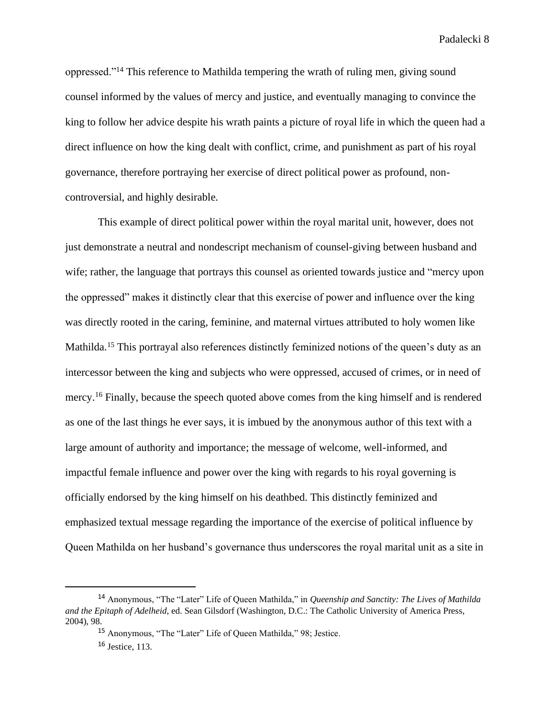oppressed."<sup>14</sup> This reference to Mathilda tempering the wrath of ruling men, giving sound counsel informed by the values of mercy and justice, and eventually managing to convince the king to follow her advice despite his wrath paints a picture of royal life in which the queen had a direct influence on how the king dealt with conflict, crime, and punishment as part of his royal governance, therefore portraying her exercise of direct political power as profound, noncontroversial, and highly desirable.

This example of direct political power within the royal marital unit, however, does not just demonstrate a neutral and nondescript mechanism of counsel-giving between husband and wife; rather, the language that portrays this counsel as oriented towards justice and "mercy upon the oppressed" makes it distinctly clear that this exercise of power and influence over the king was directly rooted in the caring, feminine, and maternal virtues attributed to holy women like Mathilda.<sup>15</sup> This portraval also references distinctly feminized notions of the queen's duty as an intercessor between the king and subjects who were oppressed, accused of crimes, or in need of mercy.<sup>16</sup> Finally, because the speech quoted above comes from the king himself and is rendered as one of the last things he ever says, it is imbued by the anonymous author of this text with a large amount of authority and importance; the message of welcome, well-informed, and impactful female influence and power over the king with regards to his royal governing is officially endorsed by the king himself on his deathbed. This distinctly feminized and emphasized textual message regarding the importance of the exercise of political influence by Queen Mathilda on her husband's governance thus underscores the royal marital unit as a site in

<sup>14</sup> Anonymous, "The "Later" Life of Queen Mathilda," in *Queenship and Sanctity: The Lives of Mathilda and the Epitaph of Adelheid*, ed. Sean Gilsdorf (Washington, D.C.: The Catholic University of America Press, 2004), 98.

<sup>15</sup> Anonymous, "The "Later" Life of Queen Mathilda," 98; Jestice.

<sup>16</sup> Jestice, 113.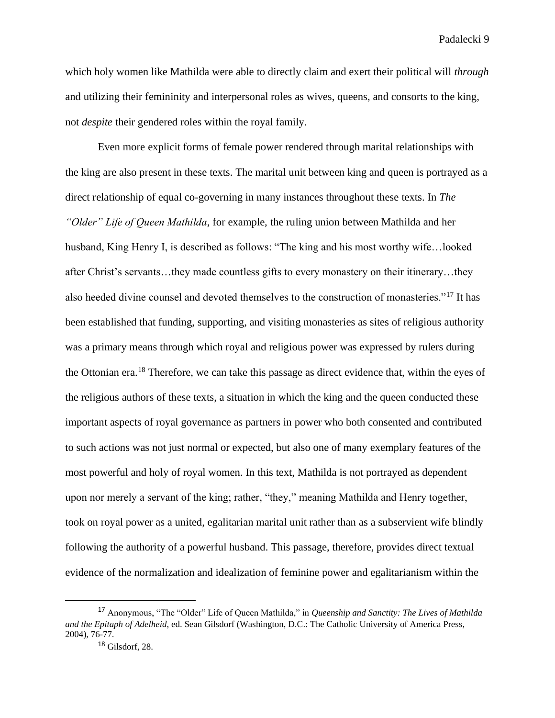which holy women like Mathilda were able to directly claim and exert their political will *through* and utilizing their femininity and interpersonal roles as wives, queens, and consorts to the king, not *despite* their gendered roles within the royal family.

Even more explicit forms of female power rendered through marital relationships with the king are also present in these texts. The marital unit between king and queen is portrayed as a direct relationship of equal co-governing in many instances throughout these texts. In *The "Older" Life of Queen Mathilda*, for example, the ruling union between Mathilda and her husband, King Henry I, is described as follows: "The king and his most worthy wife…looked after Christ's servants…they made countless gifts to every monastery on their itinerary…they also heeded divine counsel and devoted themselves to the construction of monasteries."<sup>17</sup> It has been established that funding, supporting, and visiting monasteries as sites of religious authority was a primary means through which royal and religious power was expressed by rulers during the Ottonian era.<sup>18</sup> Therefore, we can take this passage as direct evidence that, within the eyes of the religious authors of these texts, a situation in which the king and the queen conducted these important aspects of royal governance as partners in power who both consented and contributed to such actions was not just normal or expected, but also one of many exemplary features of the most powerful and holy of royal women. In this text, Mathilda is not portrayed as dependent upon nor merely a servant of the king; rather, "they," meaning Mathilda and Henry together, took on royal power as a united, egalitarian marital unit rather than as a subservient wife blindly following the authority of a powerful husband. This passage, therefore, provides direct textual evidence of the normalization and idealization of feminine power and egalitarianism within the

<sup>17</sup> Anonymous, "The "Older" Life of Queen Mathilda," in *Queenship and Sanctity: The Lives of Mathilda and the Epitaph of Adelheid*, ed. Sean Gilsdorf (Washington, D.C.: The Catholic University of America Press, 2004), 76-77.

<sup>18</sup> Gilsdorf, 28.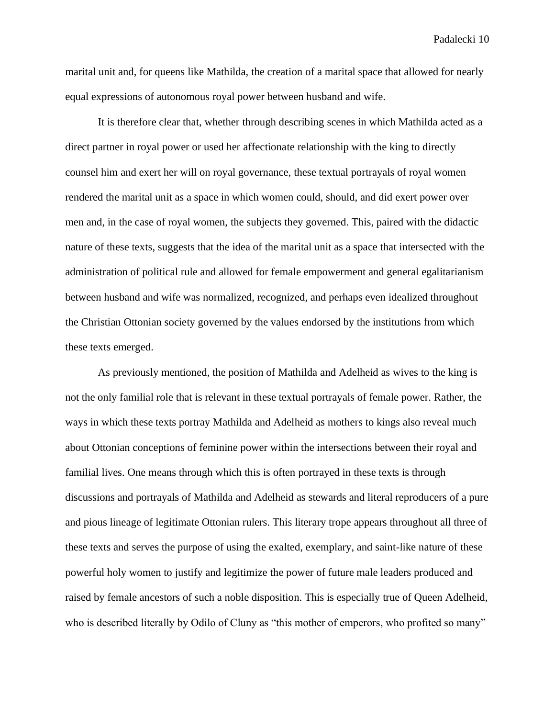marital unit and, for queens like Mathilda, the creation of a marital space that allowed for nearly equal expressions of autonomous royal power between husband and wife.

It is therefore clear that, whether through describing scenes in which Mathilda acted as a direct partner in royal power or used her affectionate relationship with the king to directly counsel him and exert her will on royal governance, these textual portrayals of royal women rendered the marital unit as a space in which women could, should, and did exert power over men and, in the case of royal women, the subjects they governed. This, paired with the didactic nature of these texts, suggests that the idea of the marital unit as a space that intersected with the administration of political rule and allowed for female empowerment and general egalitarianism between husband and wife was normalized, recognized, and perhaps even idealized throughout the Christian Ottonian society governed by the values endorsed by the institutions from which these texts emerged.

As previously mentioned, the position of Mathilda and Adelheid as wives to the king is not the only familial role that is relevant in these textual portrayals of female power. Rather, the ways in which these texts portray Mathilda and Adelheid as mothers to kings also reveal much about Ottonian conceptions of feminine power within the intersections between their royal and familial lives. One means through which this is often portrayed in these texts is through discussions and portrayals of Mathilda and Adelheid as stewards and literal reproducers of a pure and pious lineage of legitimate Ottonian rulers. This literary trope appears throughout all three of these texts and serves the purpose of using the exalted, exemplary, and saint-like nature of these powerful holy women to justify and legitimize the power of future male leaders produced and raised by female ancestors of such a noble disposition. This is especially true of Queen Adelheid, who is described literally by Odilo of Cluny as "this mother of emperors, who profited so many"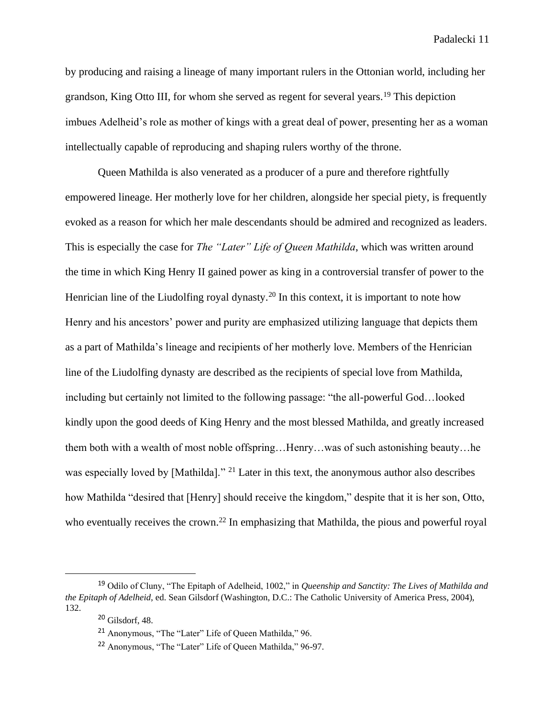by producing and raising a lineage of many important rulers in the Ottonian world, including her grandson, King Otto III, for whom she served as regent for several years.<sup>19</sup> This depiction imbues Adelheid's role as mother of kings with a great deal of power, presenting her as a woman intellectually capable of reproducing and shaping rulers worthy of the throne.

Queen Mathilda is also venerated as a producer of a pure and therefore rightfully empowered lineage. Her motherly love for her children, alongside her special piety, is frequently evoked as a reason for which her male descendants should be admired and recognized as leaders. This is especially the case for *The "Later" Life of Queen Mathilda*, which was written around the time in which King Henry II gained power as king in a controversial transfer of power to the Henrician line of the Liudolfing royal dynasty.<sup>20</sup> In this context, it is important to note how Henry and his ancestors' power and purity are emphasized utilizing language that depicts them as a part of Mathilda's lineage and recipients of her motherly love. Members of the Henrician line of the Liudolfing dynasty are described as the recipients of special love from Mathilda, including but certainly not limited to the following passage: "the all-powerful God…looked kindly upon the good deeds of King Henry and the most blessed Mathilda, and greatly increased them both with a wealth of most noble offspring…Henry…was of such astonishing beauty…he was especially loved by [Mathilda]." <sup>21</sup> Later in this text, the anonymous author also describes how Mathilda "desired that [Henry] should receive the kingdom," despite that it is her son, Otto, who eventually receives the crown.<sup>22</sup> In emphasizing that Mathilda, the pious and powerful royal

<sup>19</sup> Odilo of Cluny, "The Epitaph of Adelheid, 1002," in *Queenship and Sanctity: The Lives of Mathilda and the Epitaph of Adelheid*, ed. Sean Gilsdorf (Washington, D.C.: The Catholic University of America Press, 2004), 132.

<sup>20</sup> Gilsdorf, 48.

<sup>21</sup> Anonymous, "The "Later" Life of Queen Mathilda," 96.

<sup>22</sup> Anonymous, "The "Later" Life of Queen Mathilda," 96-97.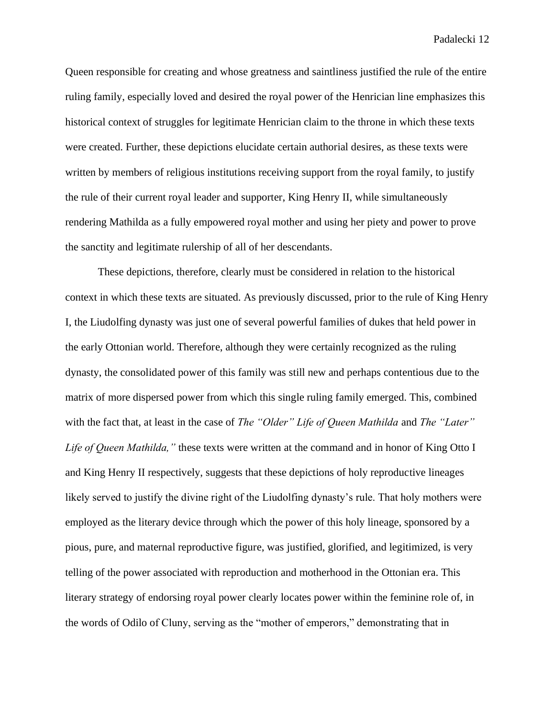Queen responsible for creating and whose greatness and saintliness justified the rule of the entire ruling family, especially loved and desired the royal power of the Henrician line emphasizes this historical context of struggles for legitimate Henrician claim to the throne in which these texts were created. Further, these depictions elucidate certain authorial desires, as these texts were written by members of religious institutions receiving support from the royal family, to justify the rule of their current royal leader and supporter, King Henry II, while simultaneously rendering Mathilda as a fully empowered royal mother and using her piety and power to prove the sanctity and legitimate rulership of all of her descendants.

These depictions, therefore, clearly must be considered in relation to the historical context in which these texts are situated. As previously discussed, prior to the rule of King Henry I, the Liudolfing dynasty was just one of several powerful families of dukes that held power in the early Ottonian world. Therefore, although they were certainly recognized as the ruling dynasty, the consolidated power of this family was still new and perhaps contentious due to the matrix of more dispersed power from which this single ruling family emerged. This, combined with the fact that, at least in the case of *The "Older" Life of Queen Mathilda* and *The "Later" Life of Queen Mathilda,"* these texts were written at the command and in honor of King Otto I and King Henry II respectively, suggests that these depictions of holy reproductive lineages likely served to justify the divine right of the Liudolfing dynasty's rule. That holy mothers were employed as the literary device through which the power of this holy lineage, sponsored by a pious, pure, and maternal reproductive figure, was justified, glorified, and legitimized, is very telling of the power associated with reproduction and motherhood in the Ottonian era. This literary strategy of endorsing royal power clearly locates power within the feminine role of, in the words of Odilo of Cluny, serving as the "mother of emperors," demonstrating that in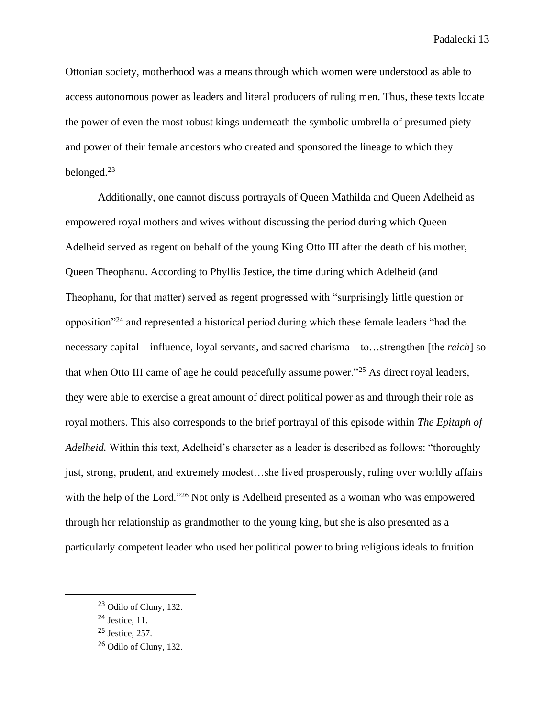Ottonian society, motherhood was a means through which women were understood as able to access autonomous power as leaders and literal producers of ruling men. Thus, these texts locate the power of even the most robust kings underneath the symbolic umbrella of presumed piety and power of their female ancestors who created and sponsored the lineage to which they belonged.<sup>23</sup>

Additionally, one cannot discuss portrayals of Queen Mathilda and Queen Adelheid as empowered royal mothers and wives without discussing the period during which Queen Adelheid served as regent on behalf of the young King Otto III after the death of his mother, Queen Theophanu. According to Phyllis Jestice, the time during which Adelheid (and Theophanu, for that matter) served as regent progressed with "surprisingly little question or opposition"<sup>24</sup> and represented a historical period during which these female leaders "had the necessary capital – influence, loyal servants, and sacred charisma – to…strengthen [the *reich*] so that when Otto III came of age he could peacefully assume power."<sup>25</sup> As direct royal leaders, they were able to exercise a great amount of direct political power as and through their role as royal mothers. This also corresponds to the brief portrayal of this episode within *The Epitaph of Adelheid.* Within this text, Adelheid's character as a leader is described as follows: "thoroughly just, strong, prudent, and extremely modest…she lived prosperously, ruling over worldly affairs with the help of the Lord."<sup>26</sup> Not only is Adelheid presented as a woman who was empowered through her relationship as grandmother to the young king, but she is also presented as a particularly competent leader who used her political power to bring religious ideals to fruition

<sup>&</sup>lt;sup>23</sup> Odilo of Cluny, 132.

<sup>24</sup> Jestice, 11.

 $25$  Jestice, 257.

 $26$  Odilo of Cluny, 132.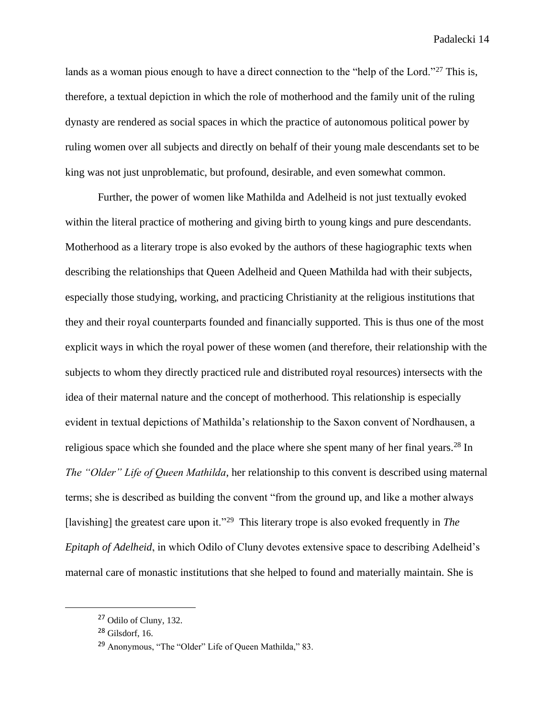lands as a woman pious enough to have a direct connection to the "help of the Lord."<sup>27</sup> This is, therefore, a textual depiction in which the role of motherhood and the family unit of the ruling dynasty are rendered as social spaces in which the practice of autonomous political power by ruling women over all subjects and directly on behalf of their young male descendants set to be king was not just unproblematic, but profound, desirable, and even somewhat common.

Further, the power of women like Mathilda and Adelheid is not just textually evoked within the literal practice of mothering and giving birth to young kings and pure descendants. Motherhood as a literary trope is also evoked by the authors of these hagiographic texts when describing the relationships that Queen Adelheid and Queen Mathilda had with their subjects, especially those studying, working, and practicing Christianity at the religious institutions that they and their royal counterparts founded and financially supported. This is thus one of the most explicit ways in which the royal power of these women (and therefore, their relationship with the subjects to whom they directly practiced rule and distributed royal resources) intersects with the idea of their maternal nature and the concept of motherhood. This relationship is especially evident in textual depictions of Mathilda's relationship to the Saxon convent of Nordhausen, a religious space which she founded and the place where she spent many of her final years.<sup>28</sup> In *The "Older" Life of Queen Mathilda*, her relationship to this convent is described using maternal terms; she is described as building the convent "from the ground up, and like a mother always [lavishing] the greatest care upon it."<sup>29</sup> This literary trope is also evoked frequently in *The Epitaph of Adelheid*, in which Odilo of Cluny devotes extensive space to describing Adelheid's maternal care of monastic institutions that she helped to found and materially maintain. She is

<sup>27</sup> Odilo of Cluny, 132.

 $28$  Gilsdorf, 16.

<sup>29</sup> Anonymous, "The "Older" Life of Queen Mathilda," 83.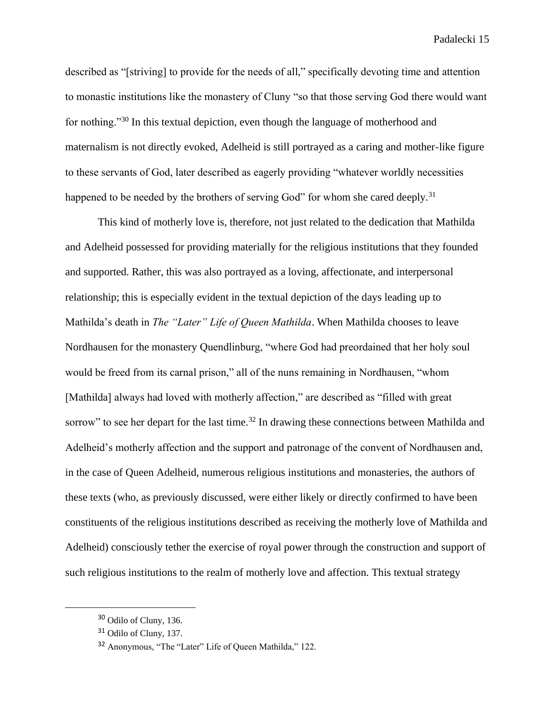described as "[striving] to provide for the needs of all," specifically devoting time and attention to monastic institutions like the monastery of Cluny "so that those serving God there would want for nothing."<sup>30</sup> In this textual depiction, even though the language of motherhood and maternalism is not directly evoked, Adelheid is still portrayed as a caring and mother-like figure to these servants of God, later described as eagerly providing "whatever worldly necessities happened to be needed by the brothers of serving God" for whom she cared deeply.<sup>31</sup>

This kind of motherly love is, therefore, not just related to the dedication that Mathilda and Adelheid possessed for providing materially for the religious institutions that they founded and supported. Rather, this was also portrayed as a loving, affectionate, and interpersonal relationship; this is especially evident in the textual depiction of the days leading up to Mathilda's death in *The "Later" Life of Queen Mathilda*. When Mathilda chooses to leave Nordhausen for the monastery Quendlinburg, "where God had preordained that her holy soul would be freed from its carnal prison," all of the nuns remaining in Nordhausen, "whom [Mathilda] always had loved with motherly affection," are described as "filled with great sorrow" to see her depart for the last time.<sup>32</sup> In drawing these connections between Mathilda and Adelheid's motherly affection and the support and patronage of the convent of Nordhausen and, in the case of Queen Adelheid, numerous religious institutions and monasteries, the authors of these texts (who, as previously discussed, were either likely or directly confirmed to have been constituents of the religious institutions described as receiving the motherly love of Mathilda and Adelheid) consciously tether the exercise of royal power through the construction and support of such religious institutions to the realm of motherly love and affection. This textual strategy

<sup>30</sup> Odilo of Cluny, 136.

<sup>&</sup>lt;sup>31</sup> Odilo of Cluny, 137.

<sup>32</sup> Anonymous, "The "Later" Life of Queen Mathilda," 122.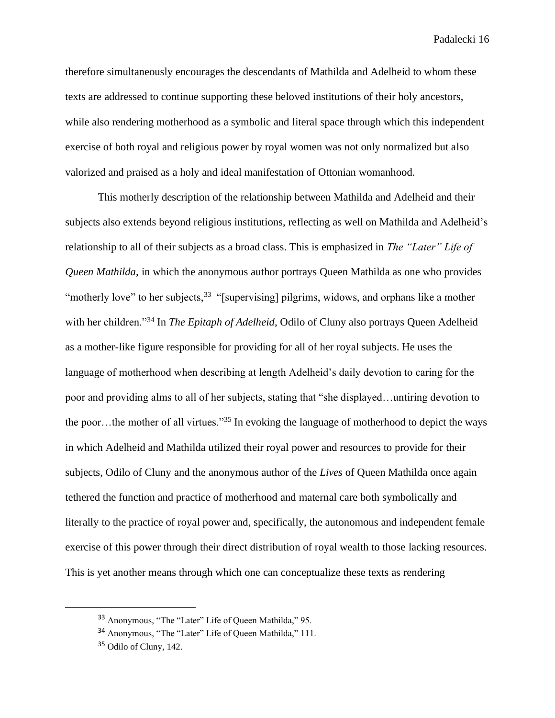therefore simultaneously encourages the descendants of Mathilda and Adelheid to whom these texts are addressed to continue supporting these beloved institutions of their holy ancestors, while also rendering motherhood as a symbolic and literal space through which this independent exercise of both royal and religious power by royal women was not only normalized but also valorized and praised as a holy and ideal manifestation of Ottonian womanhood.

This motherly description of the relationship between Mathilda and Adelheid and their subjects also extends beyond religious institutions, reflecting as well on Mathilda and Adelheid's relationship to all of their subjects as a broad class. This is emphasized in *The "Later" Life of Queen Mathilda*, in which the anonymous author portrays Queen Mathilda as one who provides "motherly love" to her subjects,<sup>33</sup> "[supervising] pilgrims, widows, and orphans like a mother with her children."<sup>34</sup> In *The Epitaph of Adelheid*, Odilo of Cluny also portrays Queen Adelheid as a mother-like figure responsible for providing for all of her royal subjects. He uses the language of motherhood when describing at length Adelheid's daily devotion to caring for the poor and providing alms to all of her subjects, stating that "she displayed…untiring devotion to the poor…the mother of all virtues."<sup>35</sup> In evoking the language of motherhood to depict the ways in which Adelheid and Mathilda utilized their royal power and resources to provide for their subjects, Odilo of Cluny and the anonymous author of the *Lives* of Queen Mathilda once again tethered the function and practice of motherhood and maternal care both symbolically and literally to the practice of royal power and, specifically, the autonomous and independent female exercise of this power through their direct distribution of royal wealth to those lacking resources. This is yet another means through which one can conceptualize these texts as rendering

<sup>33</sup> Anonymous, "The "Later" Life of Queen Mathilda," 95.

<sup>34</sup> Anonymous, "The "Later" Life of Queen Mathilda," 111.

<sup>35</sup> Odilo of Cluny, 142.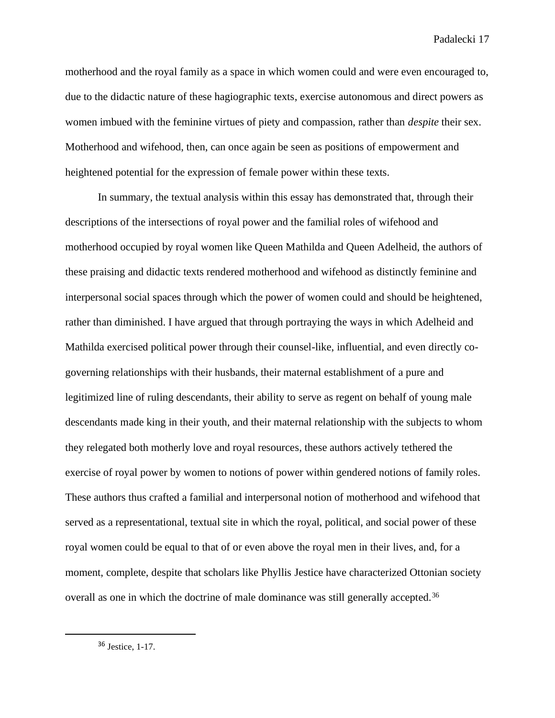motherhood and the royal family as a space in which women could and were even encouraged to, due to the didactic nature of these hagiographic texts, exercise autonomous and direct powers as women imbued with the feminine virtues of piety and compassion, rather than *despite* their sex. Motherhood and wifehood, then, can once again be seen as positions of empowerment and heightened potential for the expression of female power within these texts.

In summary, the textual analysis within this essay has demonstrated that, through their descriptions of the intersections of royal power and the familial roles of wifehood and motherhood occupied by royal women like Queen Mathilda and Queen Adelheid, the authors of these praising and didactic texts rendered motherhood and wifehood as distinctly feminine and interpersonal social spaces through which the power of women could and should be heightened, rather than diminished. I have argued that through portraying the ways in which Adelheid and Mathilda exercised political power through their counsel-like, influential, and even directly cogoverning relationships with their husbands, their maternal establishment of a pure and legitimized line of ruling descendants, their ability to serve as regent on behalf of young male descendants made king in their youth, and their maternal relationship with the subjects to whom they relegated both motherly love and royal resources, these authors actively tethered the exercise of royal power by women to notions of power within gendered notions of family roles. These authors thus crafted a familial and interpersonal notion of motherhood and wifehood that served as a representational, textual site in which the royal, political, and social power of these royal women could be equal to that of or even above the royal men in their lives, and, for a moment, complete, despite that scholars like Phyllis Jestice have characterized Ottonian society overall as one in which the doctrine of male dominance was still generally accepted.<sup>36</sup>

<sup>36</sup> Jestice, 1-17.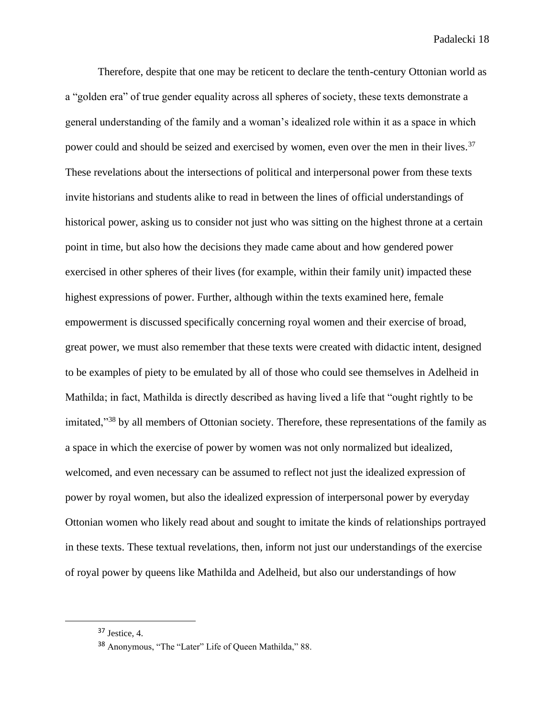Therefore, despite that one may be reticent to declare the tenth-century Ottonian world as a "golden era" of true gender equality across all spheres of society, these texts demonstrate a general understanding of the family and a woman's idealized role within it as a space in which power could and should be seized and exercised by women, even over the men in their lives.<sup>37</sup> These revelations about the intersections of political and interpersonal power from these texts invite historians and students alike to read in between the lines of official understandings of historical power, asking us to consider not just who was sitting on the highest throne at a certain point in time, but also how the decisions they made came about and how gendered power exercised in other spheres of their lives (for example, within their family unit) impacted these highest expressions of power. Further, although within the texts examined here, female empowerment is discussed specifically concerning royal women and their exercise of broad, great power, we must also remember that these texts were created with didactic intent, designed to be examples of piety to be emulated by all of those who could see themselves in Adelheid in Mathilda; in fact, Mathilda is directly described as having lived a life that "ought rightly to be imitated,"<sup>38</sup> by all members of Ottonian society. Therefore, these representations of the family as a space in which the exercise of power by women was not only normalized but idealized, welcomed, and even necessary can be assumed to reflect not just the idealized expression of power by royal women, but also the idealized expression of interpersonal power by everyday Ottonian women who likely read about and sought to imitate the kinds of relationships portrayed in these texts. These textual revelations, then, inform not just our understandings of the exercise of royal power by queens like Mathilda and Adelheid, but also our understandings of how

<sup>37</sup> Jestice, 4.

<sup>38</sup> Anonymous, "The "Later" Life of Queen Mathilda," 88.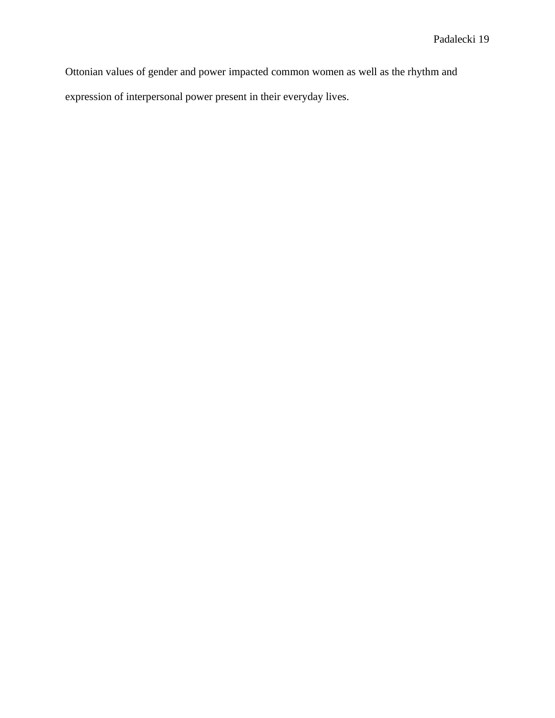Ottonian values of gender and power impacted common women as well as the rhythm and expression of interpersonal power present in their everyday lives.